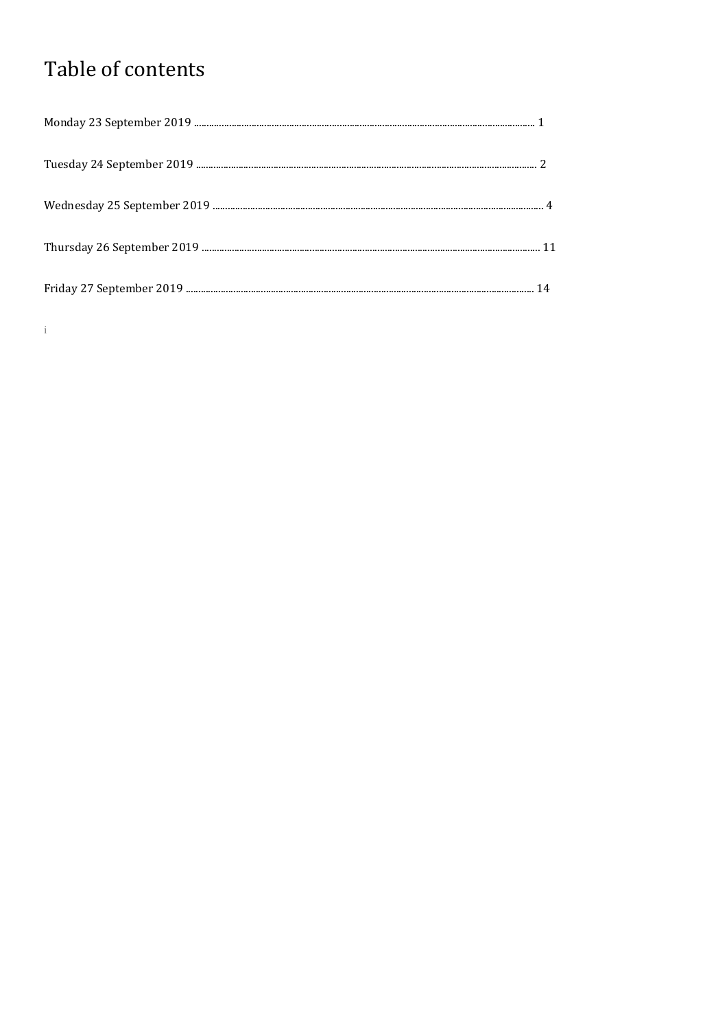# Table of contents

 $\mathbf{i}$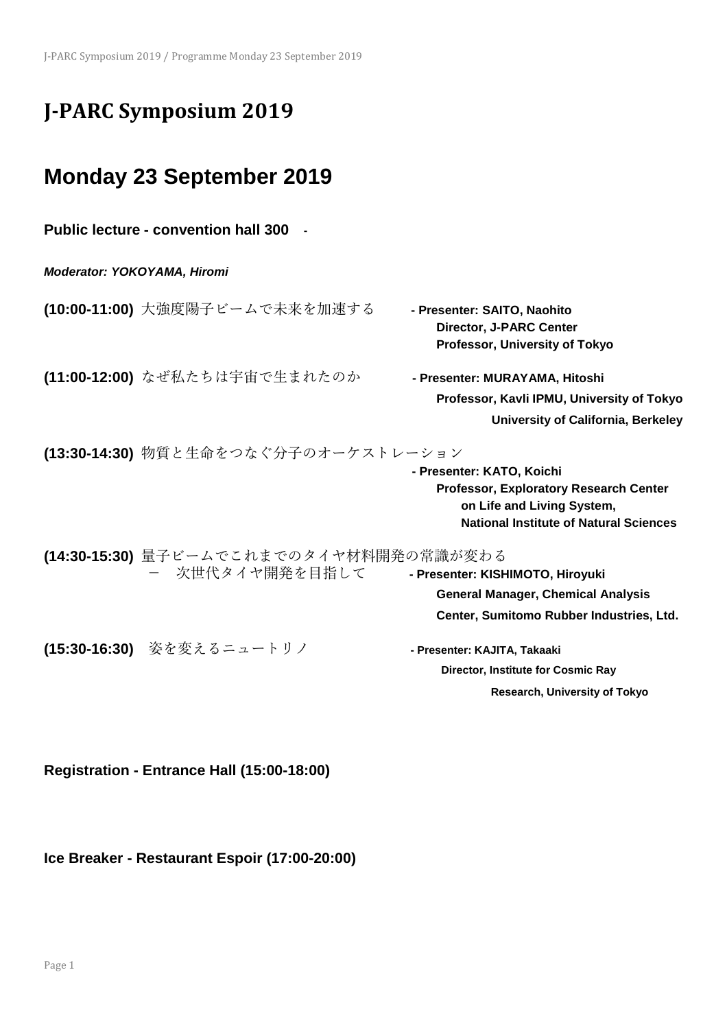# **J-PARC Symposium 2019**

# **Monday 23 September 2019**

| <b>Public lecture - convention hall 300</b>                |                                                                                                                                                           |  |
|------------------------------------------------------------|-----------------------------------------------------------------------------------------------------------------------------------------------------------|--|
| <b>Moderator: YOKOYAMA, Hiromi</b>                         |                                                                                                                                                           |  |
| <b>(10:00-11:00)</b> 大強度陽子ビームで未来を加速する                      | - Presenter: SAITO, Naohito<br><b>Director, J-PARC Center</b><br>Professor, University of Tokyo                                                           |  |
| (11:00-12:00) なぜ私たちは宇宙で生まれたのか                              | - Presenter: MURAYAMA, Hitoshi<br>Professor, Kavli IPMU, University of Tokyo<br>University of California, Berkeley                                        |  |
| (13:30-14:30) 物質と生命をつなぐ分子のオーケストレーション                       | - Presenter: KATO, Koichi<br><b>Professor, Exploratory Research Center</b><br>on Life and Living System,<br><b>National Institute of Natural Sciences</b> |  |
| (14:30-15:30) 量子ビームでこれまでのタイヤ材料開発の常識が変わる<br>- 次世代タイヤ開発を目指して | - Presenter: KISHIMOTO, Hiroyuki<br><b>General Manager, Chemical Analysis</b><br>Center, Sumitomo Rubber Industries, Ltd.                                 |  |
| (15:30-16:30) 姿を変えるニュートリノ                                  | - Presenter: KAJITA, Takaaki<br>Director, Institute for Cosmic Ray<br>Research, University of Tokyo                                                       |  |

**Registration - Entrance Hall (15:00-18:00)** 

**Ice Breaker - Restaurant Espoir (17:00-20:00)**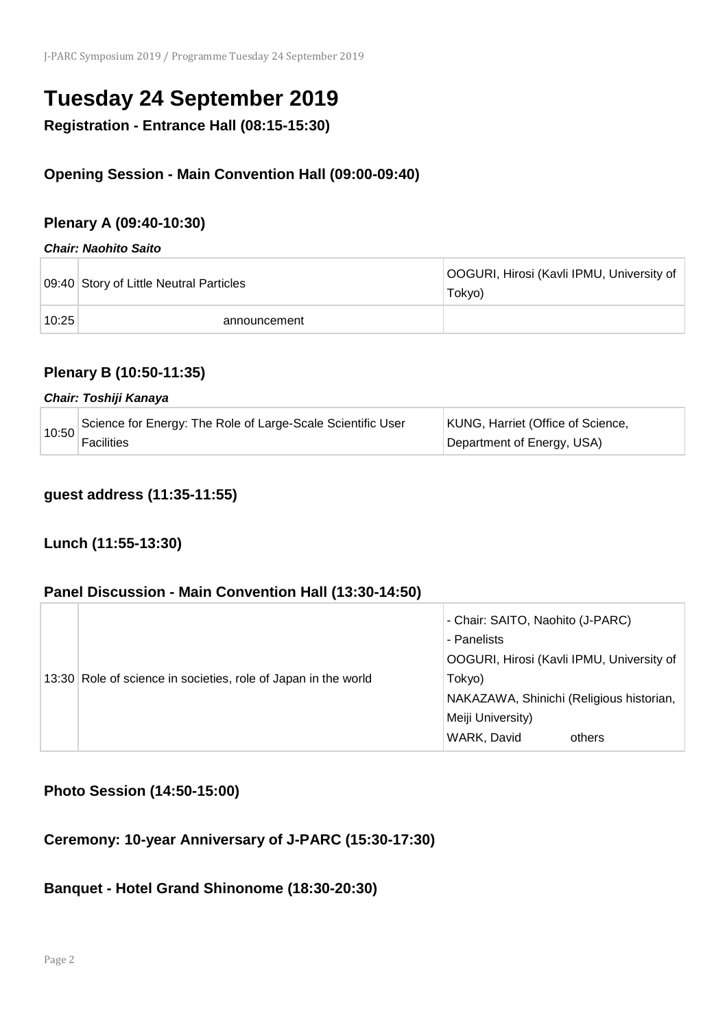# **Tuesday 24 September 2019**

**Registration - Entrance Hall (08:15-15:30)** 

## **Opening Session - Main Convention Hall (09:00-09:40)**

## **Plenary A (09:40-10:30)**

#### *Chair: Naohito Saito*

|       | 09:40 Story of Little Neutral Particles | OOGURI, Hirosi (Kavli IPMU, University of<br>Tokyo) |
|-------|-----------------------------------------|-----------------------------------------------------|
| 10:25 | announcement                            |                                                     |

## **Plenary B (10:50-11:35)**

#### *Chair: Toshiji Kanaya*

| 10:50 | Science for Energy: The Role of Large-Scale Scientific User | KUNG, Harriet (Office of Science, |
|-------|-------------------------------------------------------------|-----------------------------------|
|       | <b>Facilities</b>                                           | Department of Energy, USA)        |

### **guest address (11:35-11:55)**

## **Lunch (11:55-13:30)**

### **Panel Discussion - Main Convention Hall (13:30-14:50)**

|                                                                | - Chair: SAITO, Naohito (J-PARC)          |
|----------------------------------------------------------------|-------------------------------------------|
|                                                                | - Panelists                               |
|                                                                | OOGURI, Hirosi (Kavli IPMU, University of |
| 13:30 Role of science in societies, role of Japan in the world | Tokyo)                                    |
|                                                                | NAKAZAWA, Shinichi (Religious historian,  |
|                                                                | Meiji University)                         |
|                                                                | WARK, David<br>others                     |

## **Photo Session (14:50-15:00)**

## **Ceremony: 10-year Anniversary of J-PARC (15:30-17:30)**

#### **Banquet - Hotel Grand Shinonome (18:30-20:30)**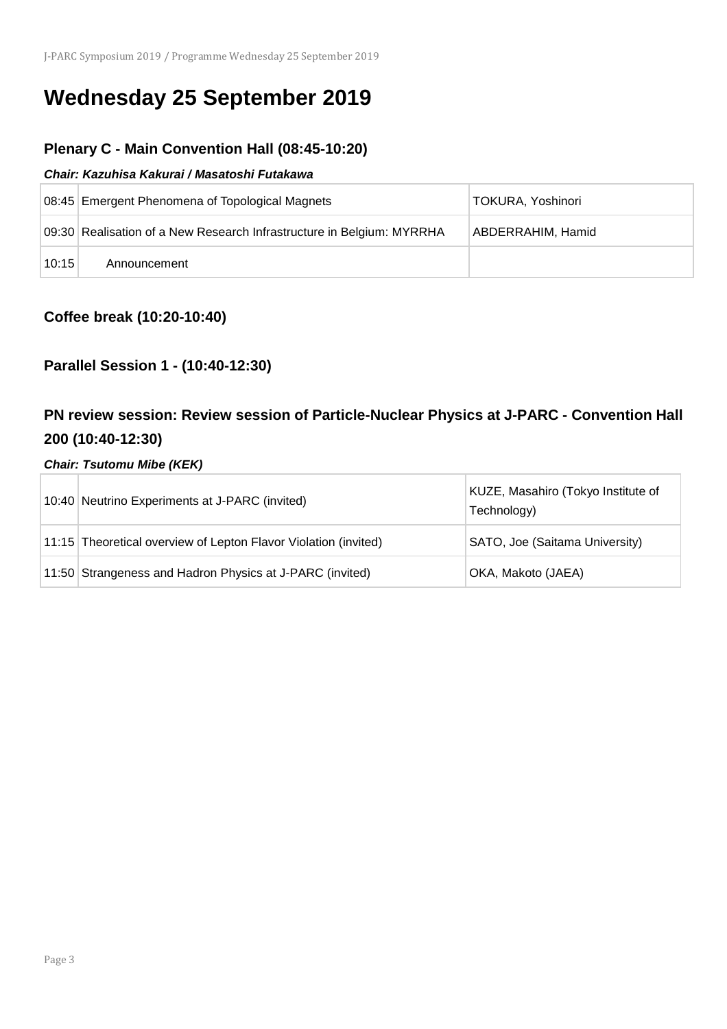# **Wednesday 25 September 2019**

## **Plenary C - Main Convention Hall (08:45-10:20)**

#### *Chair: Kazuhisa Kakurai / Masatoshi Futakawa*

|       | 08:45 Emergent Phenomena of Topological Magnets                       | TOKURA, Yoshinori |
|-------|-----------------------------------------------------------------------|-------------------|
|       | 09:30 Realisation of a New Research Infrastructure in Belgium: MYRRHA | ABDERRAHIM, Hamid |
| 10:15 | Announcement                                                          |                   |

## **Coffee break (10:20-10:40)**

## **Parallel Session 1 - (10:40-12:30)**

## **PN review session: Review session of Particle-Nuclear Physics at J-PARC - Convention Hall 200 (10:40-12:30)**

#### *Chair: Tsutomu Mibe (KEK)*

| 10:40 Neutrino Experiments at J-PARC (invited)                  | KUZE, Masahiro (Tokyo Institute of<br>Technology) |
|-----------------------------------------------------------------|---------------------------------------------------|
| 11:15 Theoretical overview of Lepton Flavor Violation (invited) | SATO, Joe (Saitama University)                    |
| 11:50 Strangeness and Hadron Physics at J-PARC (invited)        | OKA, Makoto (JAEA)                                |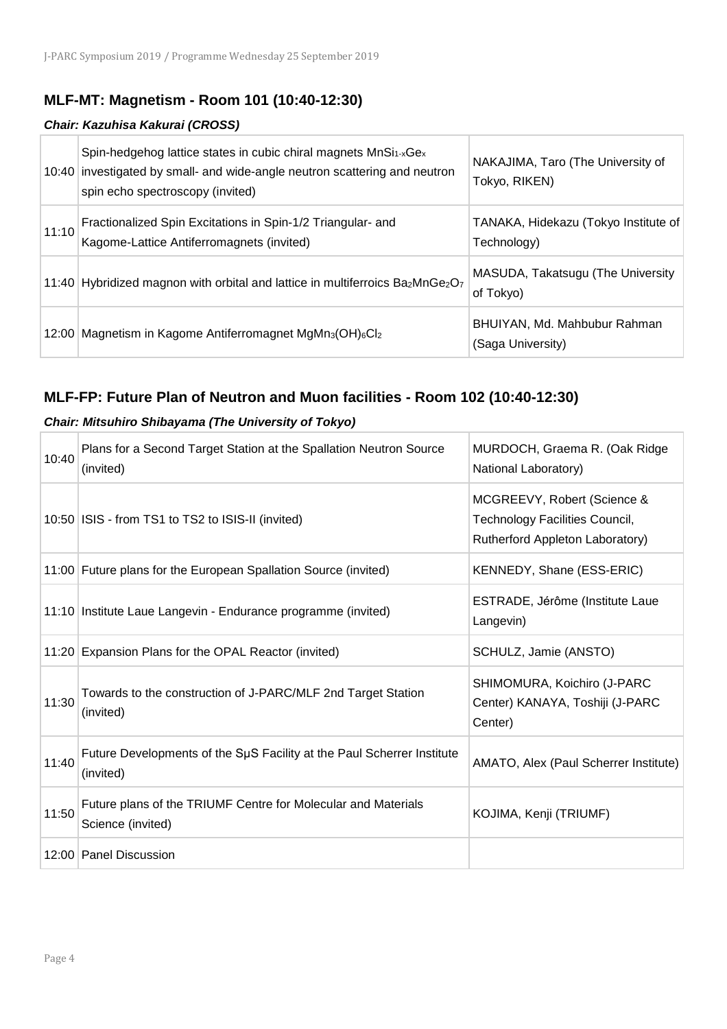## **MLF-MT: Magnetism - Room 101 (10:40-12:30)**

#### *Chair: Kazuhisa Kakurai (CROSS)*

| 10:40 | Spin-hedgehog lattice states in cubic chiral magnets MnSi <sub>1-x</sub> Ge <sub>x</sub><br>investigated by small- and wide-angle neutron scattering and neutron<br>spin echo spectroscopy (invited) | NAKAJIMA, Taro (The University of<br>Tokyo, RIKEN)  |
|-------|------------------------------------------------------------------------------------------------------------------------------------------------------------------------------------------------------|-----------------------------------------------------|
| 11:10 | Fractionalized Spin Excitations in Spin-1/2 Triangular- and<br>Kagome-Lattice Antiferromagnets (invited)                                                                                             | TANAKA, Hidekazu (Tokyo Institute of<br>Technology) |
|       | 11:40 Hybridized magnon with orbital and lattice in multiferroics Ba <sub>2</sub> MnGe <sub>2</sub> O <sub>7</sub>                                                                                   | MASUDA, Takatsugu (The University<br>of Tokyo)      |
| 12:00 | Magnetism in Kagome Antiferromagnet MgMn <sub>3</sub> (OH) <sub>6</sub> Cl <sub>2</sub>                                                                                                              | BHUIYAN, Md. Mahbubur Rahman<br>(Saga University)   |

## **MLF-FP: Future Plan of Neutron and Muon facilities - Room 102 (10:40-12:30)**

#### *Chair: Mitsuhiro Shibayama (The University of Tokyo)*

| 10:40 | Plans for a Second Target Station at the Spallation Neutron Source<br>(invited)     | MURDOCH, Graema R. (Oak Ridge<br>National Laboratory)                                            |
|-------|-------------------------------------------------------------------------------------|--------------------------------------------------------------------------------------------------|
|       | 10:50   ISIS - from TS1 to TS2 to ISIS-II (invited)                                 | MCGREEVY, Robert (Science &<br>Technology Facilities Council,<br>Rutherford Appleton Laboratory) |
|       | 11:00 Future plans for the European Spallation Source (invited)                     | KENNEDY, Shane (ESS-ERIC)                                                                        |
|       | 11:10 Institute Laue Langevin - Endurance programme (invited)                       | ESTRADE, Jérôme (Institute Laue<br>Langevin)                                                     |
| 11:20 | Expansion Plans for the OPAL Reactor (invited)                                      | SCHULZ, Jamie (ANSTO)                                                                            |
| 11:30 | Towards to the construction of J-PARC/MLF 2nd Target Station<br>(invited)           | SHIMOMURA, Koichiro (J-PARC<br>Center) KANAYA, Toshiji (J-PARC<br>Center)                        |
| 11:40 | Future Developments of the SµS Facility at the Paul Scherrer Institute<br>(invited) | AMATO, Alex (Paul Scherrer Institute)                                                            |
| 11:50 | Future plans of the TRIUMF Centre for Molecular and Materials<br>Science (invited)  | KOJIMA, Kenji (TRIUMF)                                                                           |
| 12:00 | <b>Panel Discussion</b>                                                             |                                                                                                  |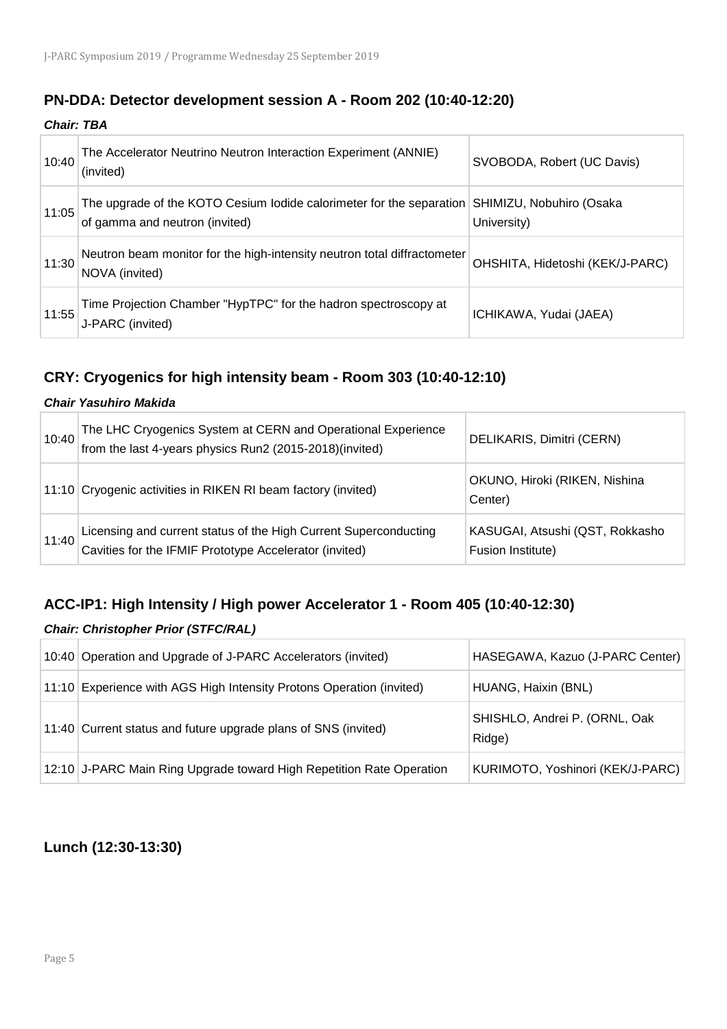### **PN-DDA: Detector development session A - Room 202 (10:40-12:20)**

*Chair: TBA*

| 10:40 | The Accelerator Neutrino Neutron Interaction Experiment (ANNIE)<br>(invited)                                                    | SVOBODA, Robert (UC Davis)      |
|-------|---------------------------------------------------------------------------------------------------------------------------------|---------------------------------|
| 11:05 | The upgrade of the KOTO Cesium lodide calorimeter for the separation SHIMIZU, Nobuhiro (Osaka<br>of gamma and neutron (invited) | University)                     |
| 11:30 | Neutron beam monitor for the high-intensity neutron total diffractometer<br>NOVA (invited)                                      | OHSHITA, Hidetoshi (KEK/J-PARC) |
| 11:55 | Time Projection Chamber "HypTPC" for the hadron spectroscopy at<br>J-PARC (invited)                                             | ICHIKAWA, Yudai (JAEA)          |

## **CRY: Cryogenics for high intensity beam - Room 303 (10:40-12:10)**

#### *Chair Yasuhiro Makida*

| 10:40 | The LHC Cryogenics System at CERN and Operational Experience<br>from the last 4-years physics Run2 (2015-2018)(invited)    | DELIKARIS, Dimitri (CERN)                            |
|-------|----------------------------------------------------------------------------------------------------------------------------|------------------------------------------------------|
|       | 11:10 Cryogenic activities in RIKEN RI beam factory (invited)                                                              | OKUNO, Hiroki (RIKEN, Nishina<br>Center)             |
| 11:40 | Licensing and current status of the High Current Superconducting<br>Cavities for the IFMIF Prototype Accelerator (invited) | KASUGAI, Atsushi (QST, Rokkasho<br>Fusion Institute) |

## **ACC-IP1: High Intensity / High power Accelerator 1 - Room 405 (10:40-12:30)**

#### *Chair: Christopher Prior (STFC/RAL)*

| 10:40 Operation and Upgrade of J-PARC Accelerators (invited)         | HASEGAWA, Kazuo (J-PARC Center)         |
|----------------------------------------------------------------------|-----------------------------------------|
| 11:10 Experience with AGS High Intensity Protons Operation (invited) | HUANG, Haixin (BNL)                     |
| 11:40 Current status and future upgrade plans of SNS (invited)       | SHISHLO, Andrei P. (ORNL, Oak<br>Ridge) |
| 12:10 J-PARC Main Ring Upgrade toward High Repetition Rate Operation | KURIMOTO, Yoshinori (KEK/J-PARC)        |

## **Lunch (12:30-13:30)**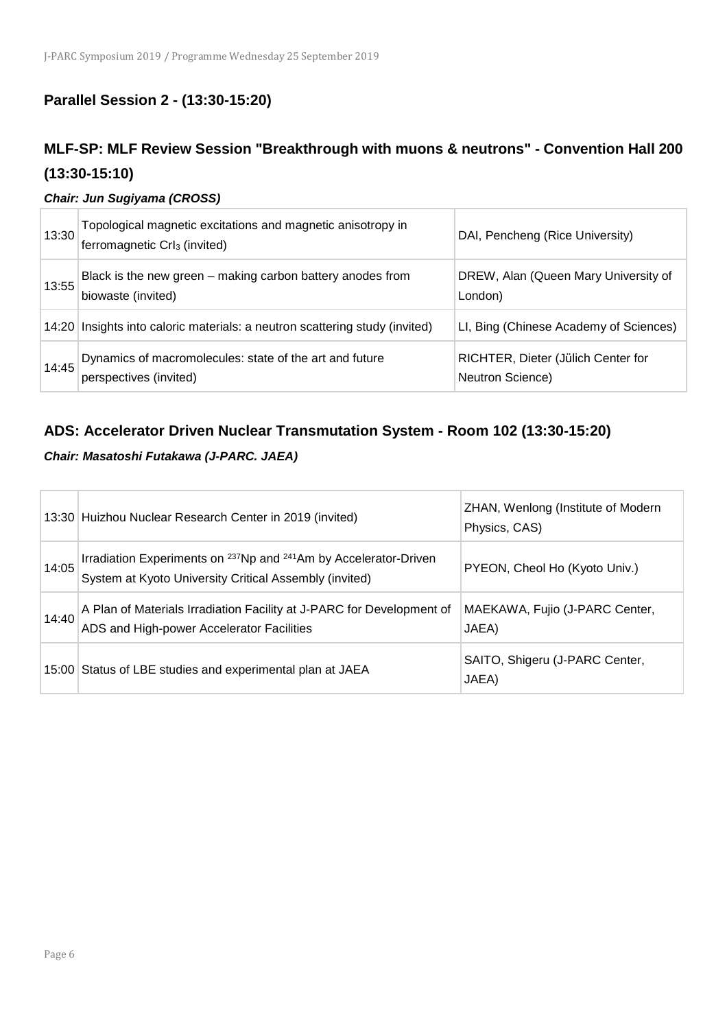## **Parallel Session 2 - (13:30-15:20)**

## **MLF-SP: MLF Review Session "Breakthrough with muons & neutrons" - Convention Hall 200 (13:30-15:10)**

#### *Chair: Jun Sugiyama (CROSS)*

| 13:30 | Topological magnetic excitations and magnetic anisotropy in<br>ferromagnetic CrI <sub>3</sub> (invited) | DAI, Pencheng (Rice University)                        |
|-------|---------------------------------------------------------------------------------------------------------|--------------------------------------------------------|
| 13:55 | Black is the new green - making carbon battery anodes from<br>biowaste (invited)                        | DREW, Alan (Queen Mary University of<br>London)        |
|       | 14:20 Insights into caloric materials: a neutron scattering study (invited)                             | LI, Bing (Chinese Academy of Sciences)                 |
| 14:45 | Dynamics of macromolecules: state of the art and future<br>perspectives (invited)                       | RICHTER, Dieter (Jülich Center for<br>Neutron Science) |

## **ADS: Accelerator Driven Nuclear Transmutation System - Room 102 (13:30-15:20)**

#### *Chair: Masatoshi Futakawa (J-PARC. JAEA)*

|       | 13:30 Huizhou Nuclear Research Center in 2019 (invited)                                                                                            | ZHAN, Wenlong (Institute of Modern<br>Physics, CAS) |
|-------|----------------------------------------------------------------------------------------------------------------------------------------------------|-----------------------------------------------------|
| 14:05 | Irradiation Experiments on <sup>237</sup> Np and <sup>241</sup> Am by Accelerator-Driven<br>System at Kyoto University Critical Assembly (invited) | PYEON, Cheol Ho (Kyoto Univ.)                       |
| 14:40 | A Plan of Materials Irradiation Facility at J-PARC for Development of<br>ADS and High-power Accelerator Facilities                                 | MAEKAWA, Fujio (J-PARC Center,<br>JAEA)             |
|       | 15:00 Status of LBE studies and experimental plan at JAEA                                                                                          | SAITO, Shigeru (J-PARC Center,<br>JAEA)             |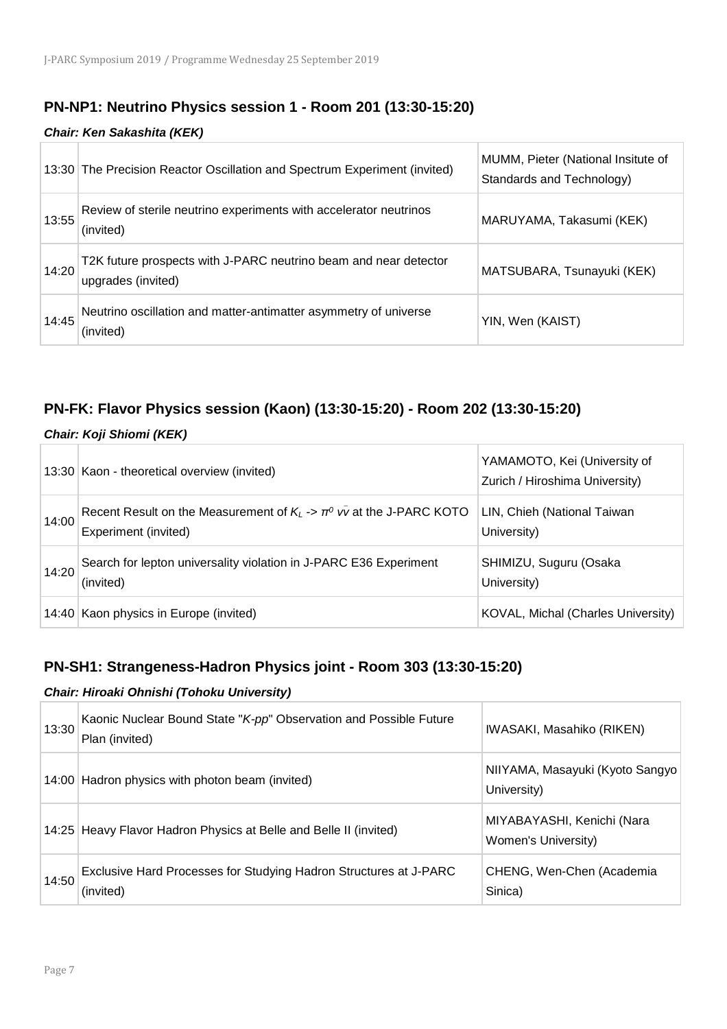## **PN-NP1: Neutrino Physics session 1 - Room 201 (13:30-15:20)**

#### *Chair: Ken Sakashita (KEK)*

|       | 13:30 The Precision Reactor Oscillation and Spectrum Experiment (invited)              | MUMM, Pieter (National Insitute of<br>Standards and Technology) |
|-------|----------------------------------------------------------------------------------------|-----------------------------------------------------------------|
| 13:55 | Review of sterile neutrino experiments with accelerator neutrinos<br>(invited)         | MARUYAMA, Takasumi (KEK)                                        |
| 14:20 | T2K future prospects with J-PARC neutrino beam and near detector<br>upgrades (invited) | MATSUBARA, Tsunayuki (KEK)                                      |
| 14:45 | Neutrino oscillation and matter-antimatter asymmetry of universe<br>(invited)          | YIN, Wen (KAIST)                                                |

## **PN-FK: Flavor Physics session (Kaon) (13:30-15:20) - Room 202 (13:30-15:20)**

#### *Chair: Koji Shiomi (KEK)*

|       | 13:30 Kaon - theoretical overview (invited)                                                               | YAMAMOTO, Kei (University of<br>Zurich / Hiroshima University) |
|-------|-----------------------------------------------------------------------------------------------------------|----------------------------------------------------------------|
| 14:00 | Recent Result on the Measurement of $K_L \rightarrow \pi^0$ vv at the J-PARC KOTO<br>Experiment (invited) | LIN, Chieh (National Taiwan<br>University)                     |
| 14:20 | Search for lepton universality violation in J-PARC E36 Experiment<br>(invited)                            | SHIMIZU, Suguru (Osaka<br>University)                          |
|       | 14:40 Kaon physics in Europe (invited)                                                                    | KOVAL, Michal (Charles University)                             |

## **PN-SH1: Strangeness-Hadron Physics joint - Room 303 (13:30-15:20)**

#### *Chair: Hiroaki Ohnishi (Tohoku University)*

| 13:30 | Kaonic Nuclear Bound State "K-pp" Observation and Possible Future<br>Plan (invited) | IWASAKI, Masahiko (RIKEN)                         |
|-------|-------------------------------------------------------------------------------------|---------------------------------------------------|
|       | 14:00 Hadron physics with photon beam (invited)                                     | NIIYAMA, Masayuki (Kyoto Sangyo)<br>University)   |
|       | 14:25 Heavy Flavor Hadron Physics at Belle and Belle II (invited)                   | MIYABAYASHI, Kenichi (Nara<br>Women's University) |
| 14:50 | Exclusive Hard Processes for Studying Hadron Structures at J-PARC<br>(invited)      | CHENG, Wen-Chen (Academia<br>Sinica)              |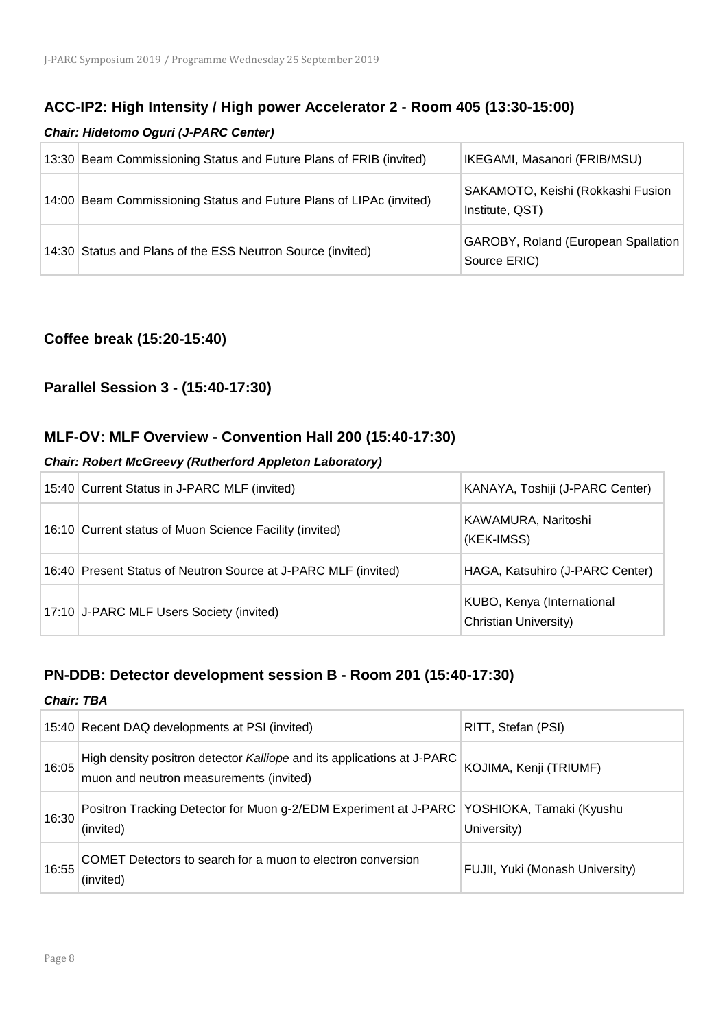#### **ACC-IP2: High Intensity / High power Accelerator 2 - Room 405 (13:30-15:00)**

#### *Chair: Hidetomo Oguri (J-PARC Center)*

| 13:30 Beam Commissioning Status and Future Plans of FRIB (invited)  | IKEGAMI, Masanori (FRIB/MSU)                                |
|---------------------------------------------------------------------|-------------------------------------------------------------|
| 14:00 Beam Commissioning Status and Future Plans of LIPAc (invited) | SAKAMOTO, Keishi (Rokkashi Fusion<br>Institute, QST)        |
| 14:30 Status and Plans of the ESS Neutron Source (invited)          | <b>GAROBY, Roland (European Spallation)</b><br>Source ERIC) |

#### **Coffee break (15:20-15:40)**

### **Parallel Session 3 - (15:40-17:30)**

#### **MLF-OV: MLF Overview - Convention Hall 200 (15:40-17:30)**

#### *Chair: Robert McGreevy (Rutherford Appleton Laboratory)*

| 15:40 Current Status in J-PARC MLF (invited)                   | KANAYA, Toshiji (J-PARC Center)                     |
|----------------------------------------------------------------|-----------------------------------------------------|
| 16:10 Current status of Muon Science Facility (invited)        | KAWAMURA, Naritoshi<br>(KEK-IMSS)                   |
| 16:40 Present Status of Neutron Source at J-PARC MLF (invited) | HAGA, Katsuhiro (J-PARC Center)                     |
| 17:10 J-PARC MLF Users Society (invited)                       | KUBO, Kenya (International<br>Christian University) |

#### **PN-DDB: Detector development session B - Room 201 (15:40-17:30)**

#### *Chair: TBA*

|       | 15:40 Recent DAQ developments at PSI (invited)                                                                    | RITT, Stefan (PSI)              |
|-------|-------------------------------------------------------------------------------------------------------------------|---------------------------------|
| 16:05 | High density positron detector Kalliope and its applications at J-PARC<br>muon and neutron measurements (invited) | KOJIMA, Kenji (TRIUMF)          |
| 16:30 | Positron Tracking Detector for Muon g-2/EDM Experiment at J-PARC   YOSHIOKA, Tamaki (Kyushu<br>(invited)          | University)                     |
| 16:55 | COMET Detectors to search for a muon to electron conversion<br>(invited)                                          | FUJII, Yuki (Monash University) |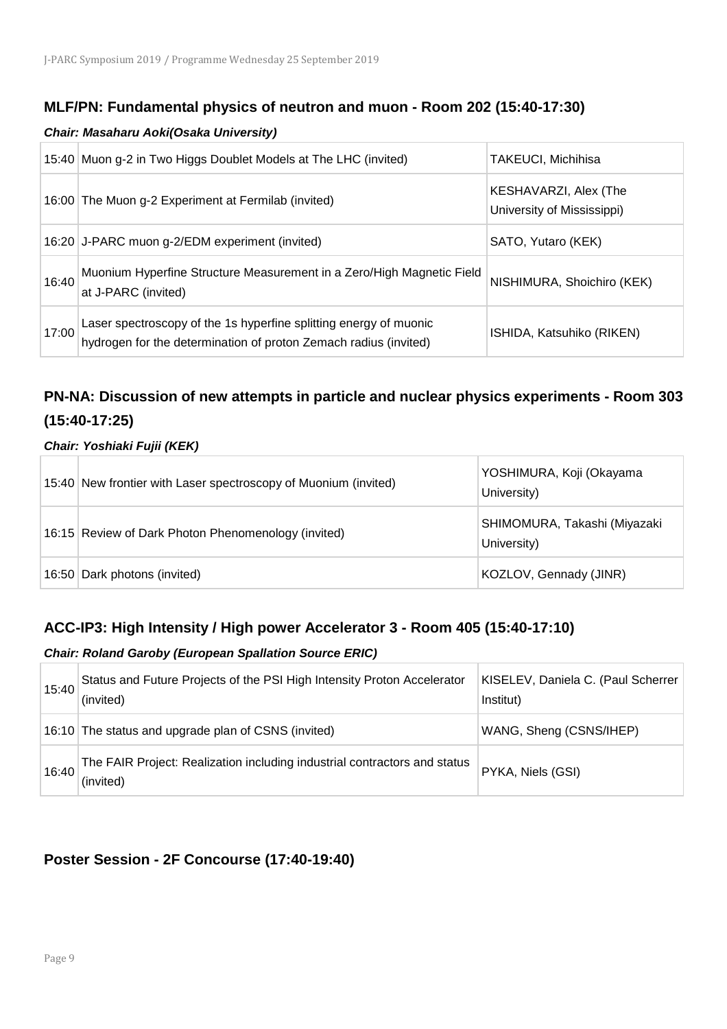### **MLF/PN: Fundamental physics of neutron and muon - Room 202 (15:40-17:30)**

#### *Chair: Masaharu Aoki(Osaka University)*

|       | 15:40 Muon g-2 in Two Higgs Doublet Models at The LHC (invited)                                                                       | <b>TAKEUCI, Michihisa</b>                           |
|-------|---------------------------------------------------------------------------------------------------------------------------------------|-----------------------------------------------------|
|       | 16:00 The Muon g-2 Experiment at Fermilab (invited)                                                                                   | KESHAVARZI, Alex (The<br>University of Mississippi) |
|       | 16:20 J-PARC muon g-2/EDM experiment (invited)                                                                                        | SATO, Yutaro (KEK)                                  |
| 16:40 | Muonium Hyperfine Structure Measurement in a Zero/High Magnetic Field<br>at J-PARC (invited)                                          | NISHIMURA, Shoichiro (KEK)                          |
| 17:00 | Laser spectroscopy of the 1s hyperfine splitting energy of muonic<br>hydrogen for the determination of proton Zemach radius (invited) | ISHIDA, Katsuhiko (RIKEN)                           |

## **PN-NA: Discussion of new attempts in particle and nuclear physics experiments - Room 303 (15:40-17:25)**

#### *Chair: Yoshiaki Fujii (KEK)*

| 15:40 New frontier with Laser spectroscopy of Muonium (invited) | YOSHIMURA, Koji (Okayama<br>University)     |
|-----------------------------------------------------------------|---------------------------------------------|
| 16:15 Review of Dark Photon Phenomenology (invited)             | SHIMOMURA, Takashi (Miyazaki<br>University) |
| 16:50 Dark photons (invited)                                    | KOZLOV, Gennady (JINR)                      |

## **ACC-IP3: High Intensity / High power Accelerator 3 - Room 405 (15:40-17:10)**

#### *Chair: Roland Garoby (European Spallation Source ERIC)*

| 15:40 | Status and Future Projects of the PSI High Intensity Proton Accelerator<br>(invited)   | KISELEV, Daniela C. (Paul Scherrer<br>Institut) |
|-------|----------------------------------------------------------------------------------------|-------------------------------------------------|
|       | 16:10 The status and upgrade plan of CSNS (invited)                                    | WANG, Sheng (CSNS/IHEP)                         |
| 16:40 | The FAIR Project: Realization including industrial contractors and status<br>(invited) | PYKA, Niels (GSI)                               |

## **Poster Session - 2F Concourse (17:40-19:40)**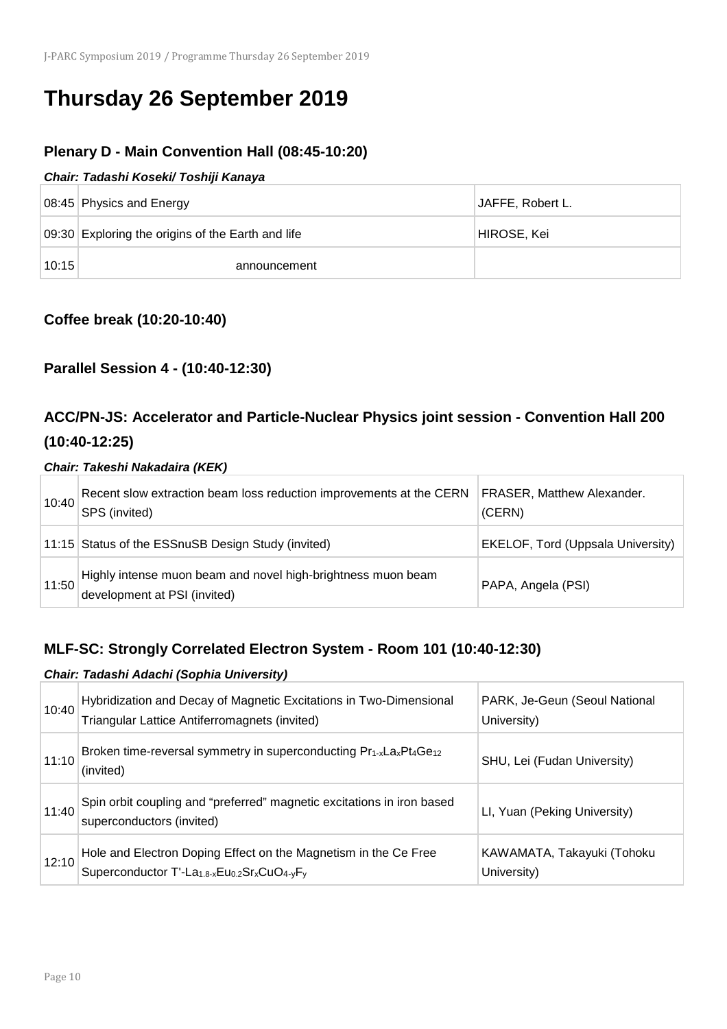# **Thursday 26 September 2019**

## **Plenary D - Main Convention Hall (08:45-10:20)**

#### *Chair: Tadashi Koseki/ Toshiji Kanaya*

|       | 08:45 Physics and Energy                          | JAFFE, Robert L. |
|-------|---------------------------------------------------|------------------|
|       | 09:30 Exploring the origins of the Earth and life | HIROSE, Kei      |
| 10:15 | announcement                                      |                  |

### **Coffee break (10:20-10:40)**

## **Parallel Session 4 - (10:40-12:30)**

## **ACC/PN-JS: Accelerator and Particle-Nuclear Physics joint session - Convention Hall 200 (10:40-12:25)**

#### *Chair: Takeshi Nakadaira (KEK)*

| 10:40 | Recent slow extraction beam loss reduction improvements at the CERN<br>SPS (invited)         | <b>FRASER, Matthew Alexander.</b><br>(CERN) |
|-------|----------------------------------------------------------------------------------------------|---------------------------------------------|
|       | 11:15 Status of the ESSnuSB Design Study (invited)                                           | <b>EKELOF, Tord (Uppsala University)</b>    |
| 11:50 | Highly intense muon beam and novel high-brightness muon beam<br>development at PSI (invited) | PAPA, Angela (PSI)                          |

## **MLF-SC: Strongly Correlated Electron System - Room 101 (10:40-12:30)**

|       | Chair: Tadashi Adachi (Sophia University)                                                                                                                                    |                                              |  |
|-------|------------------------------------------------------------------------------------------------------------------------------------------------------------------------------|----------------------------------------------|--|
| 10:40 | Hybridization and Decay of Magnetic Excitations in Two-Dimensional<br>Triangular Lattice Antiferromagnets (invited)                                                          | PARK, Je-Geun (Seoul National<br>University) |  |
| 11:10 | Broken time-reversal symmetry in superconducting Pr <sub>1-x</sub> La <sub>x</sub> Pt <sub>4</sub> Ge <sub>12</sub><br>(invited)                                             | SHU, Lei (Fudan University)                  |  |
| 11:40 | Spin orbit coupling and "preferred" magnetic excitations in iron based<br>superconductors (invited)                                                                          | LI, Yuan (Peking University)                 |  |
| 12:10 | Hole and Electron Doping Effect on the Magnetism in the Ce Free<br>Superconductor T'-La <sub>1.8-x</sub> Eu <sub>0.2</sub> Sr <sub>x</sub> CuO <sub>4-v</sub> F <sub>v</sub> | KAWAMATA, Takayuki (Tohoku<br>University)    |  |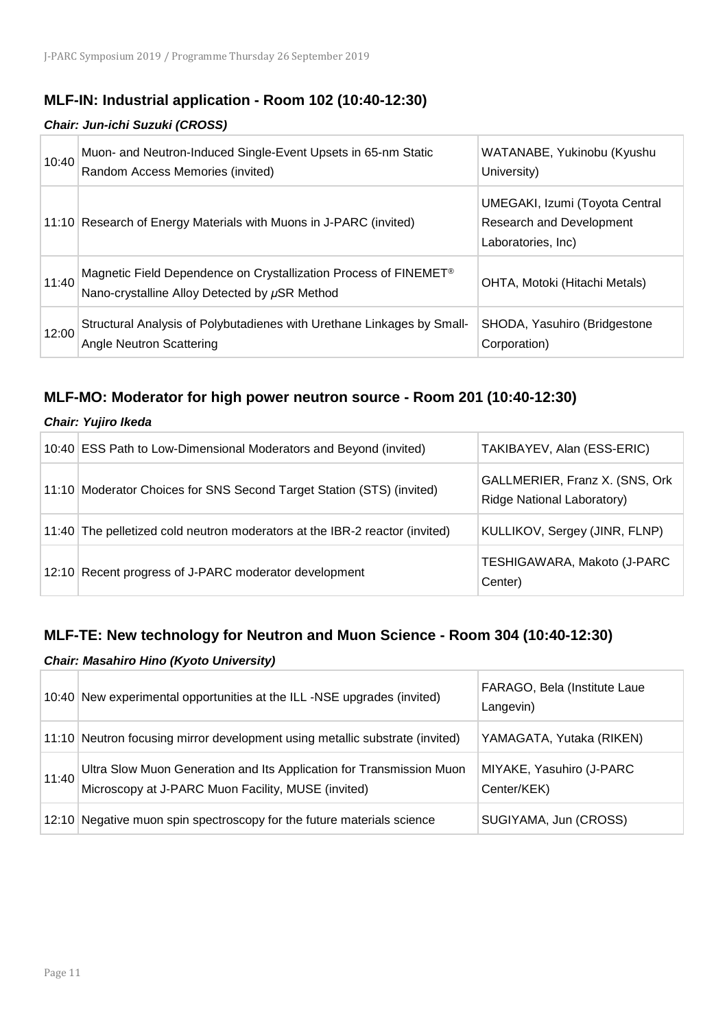## **MLF-IN: Industrial application - Room 102 (10:40-12:30)**

#### *Chair: Jun-ichi Suzuki (CROSS)*

| 10:40 | Muon- and Neutron-Induced Single-Event Upsets in 65-nm Static<br>Random Access Memories (invited)                             | WATANABE, Yukinobu (Kyushu<br>University)                                               |
|-------|-------------------------------------------------------------------------------------------------------------------------------|-----------------------------------------------------------------------------------------|
|       | 11:10 Research of Energy Materials with Muons in J-PARC (invited)                                                             | UMEGAKI, Izumi (Toyota Central<br><b>Research and Development</b><br>Laboratories, Inc) |
| 11:40 | Magnetic Field Dependence on Crystallization Process of FINEMET <sup>®</sup><br>Nano-crystalline Alloy Detected by µSR Method | OHTA, Motoki (Hitachi Metals)                                                           |
| 12:00 | Structural Analysis of Polybutadienes with Urethane Linkages by Small-<br><b>Angle Neutron Scattering</b>                     | SHODA, Yasuhiro (Bridgestone<br>Corporation)                                            |

## **MLF-MO: Moderator for high power neutron source - Room 201 (10:40-12:30)**

| Chair: Yujiro Ikeda                                                         |                                                                      |  |
|-----------------------------------------------------------------------------|----------------------------------------------------------------------|--|
| 10:40 ESS Path to Low-Dimensional Moderators and Beyond (invited)           | TAKIBAYEV, Alan (ESS-ERIC)                                           |  |
| 11:10 Moderator Choices for SNS Second Target Station (STS) (invited)       | GALLMERIER, Franz X. (SNS, Ork)<br><b>Ridge National Laboratory)</b> |  |
| 11:40 The pelletized cold neutron moderators at the IBR-2 reactor (invited) | KULLIKOV, Sergey (JINR, FLNP)                                        |  |
| 12:10 Recent progress of J-PARC moderator development                       | TESHIGAWARA, Makoto (J-PARC<br>Center)                               |  |

#### **MLF-TE: New technology for Neutron and Muon Science - Room 304 (10:40-12:30)**

#### *Chair: Masahiro Hino (Kyoto University)*

|       | 10:40 New experimental opportunities at the ILL -NSE upgrades (invited)                                                    | FARAGO, Bela (Institute Laue<br>Langevin) |
|-------|----------------------------------------------------------------------------------------------------------------------------|-------------------------------------------|
|       | 11:10 Neutron focusing mirror development using metallic substrate (invited)                                               | YAMAGATA, Yutaka (RIKEN)                  |
| 11:40 | Ultra Slow Muon Generation and Its Application for Transmission Muon<br>Microscopy at J-PARC Muon Facility, MUSE (invited) | MIYAKE, Yasuhiro (J-PARC<br>Center/KEK)   |
|       | 12:10 Negative muon spin spectroscopy for the future materials science                                                     | SUGIYAMA, Jun (CROSS)                     |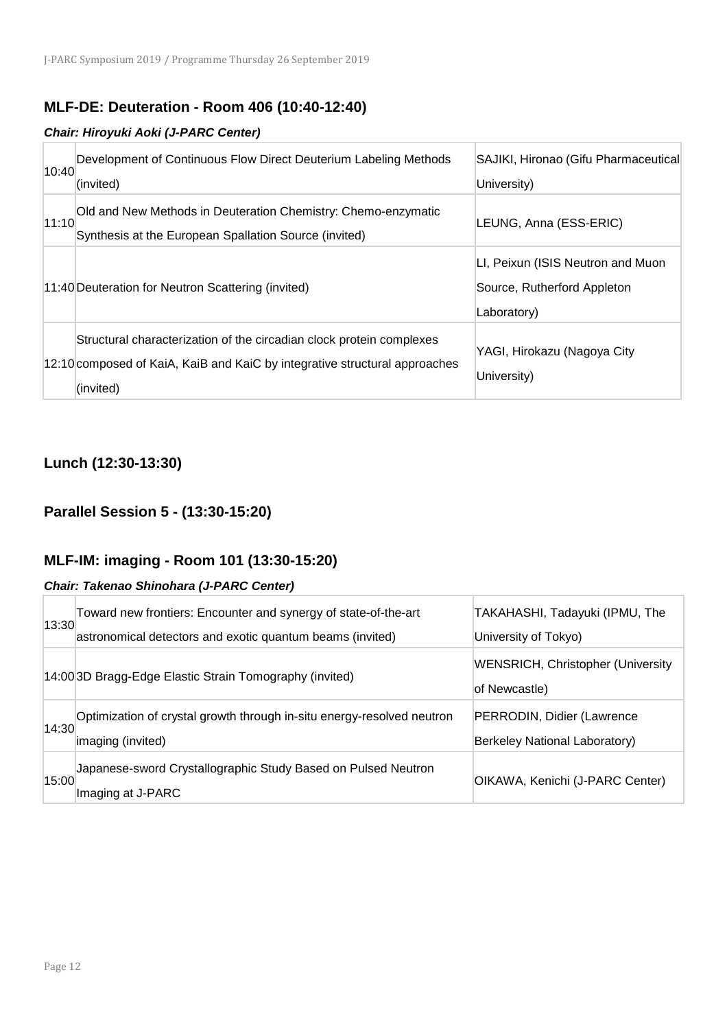## **MLF-DE: Deuteration - Room 406 (10:40-12:40)**

#### *Chair: Hiroyuki Aoki (J-PARC Center)*

| 10:40 | Development of Continuous Flow Direct Deuterium Labeling Methods<br>(invited)                                                                                   | SAJIKI, Hironao (Gifu Pharmaceutical<br>University)                             |
|-------|-----------------------------------------------------------------------------------------------------------------------------------------------------------------|---------------------------------------------------------------------------------|
| 11:10 | Old and New Methods in Deuteration Chemistry: Chemo-enzymatic<br>Synthesis at the European Spallation Source (invited)                                          | LEUNG, Anna (ESS-ERIC)                                                          |
|       | 11:40 Deuteration for Neutron Scattering (invited)                                                                                                              | LI, Peixun (ISIS Neutron and Muon<br>Source, Rutherford Appleton<br>Laboratory) |
|       | Structural characterization of the circadian clock protein complexes<br>12:10 composed of KaiA, KaiB and KaiC by integrative structural approaches<br>(invited) | YAGI, Hirokazu (Nagoya City<br>University)                                      |

## **Lunch (12:30-13:30)**

## **Parallel Session 5 - (13:30-15:20)**

## **MLF-IM: imaging - Room 101 (13:30-15:20)**

#### *Chair: Takenao Shinohara (J-PARC Center)*

| 13:30 | Toward new frontiers: Encounter and synergy of state-of-the-art<br>astronomical detectors and exotic quantum beams (invited) | TAKAHASHI, Tadayuki (IPMU, The<br>University of Tokyo)      |
|-------|------------------------------------------------------------------------------------------------------------------------------|-------------------------------------------------------------|
|       | 14:00 3D Bragg-Edge Elastic Strain Tomography (invited)                                                                      | <b>WENSRICH, Christopher (University</b><br>of Newcastle)   |
| 14:30 | Optimization of crystal growth through in-situ energy-resolved neutron<br>imaging (invited)                                  | PERRODIN, Didier (Lawrence<br>Berkeley National Laboratory) |
| 15:00 | Japanese-sword Crystallographic Study Based on Pulsed Neutron<br>Imaging at J-PARC                                           | OIKAWA, Kenichi (J-PARC Center)                             |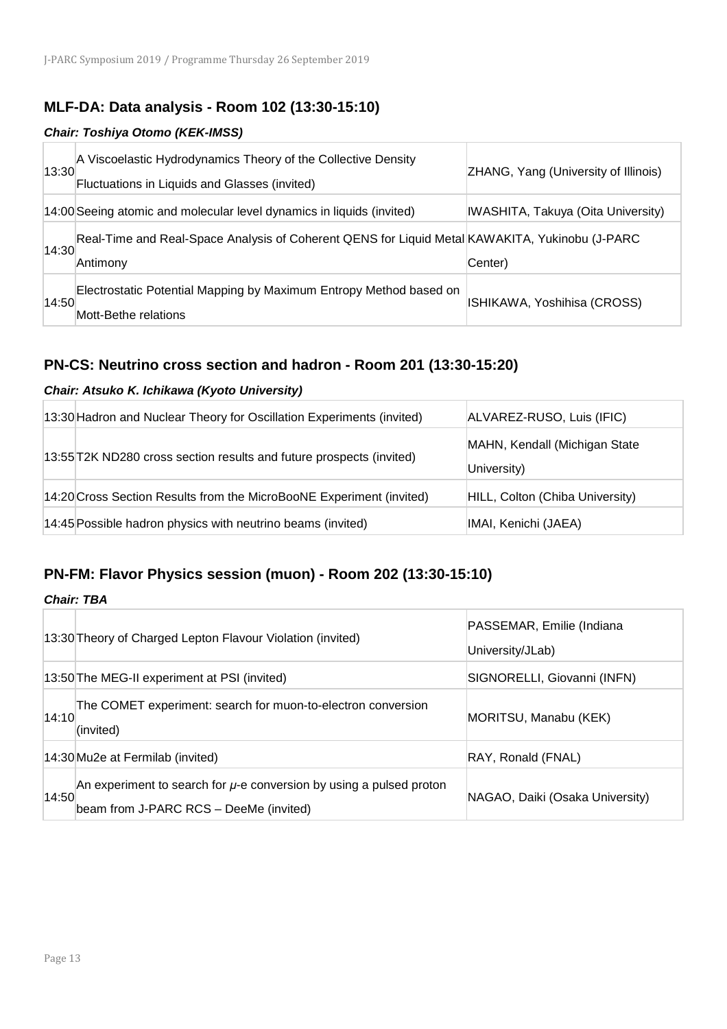### **MLF-DA: Data analysis - Room 102 (13:30-15:10)**

#### *Chair: Toshiya Otomo (KEK-IMSS)*

| 13:30 | A Viscoelastic Hydrodynamics Theory of the Collective Density<br>Fluctuations in Liquids and Glasses (invited) | ZHANG, Yang (University of Illinois) |
|-------|----------------------------------------------------------------------------------------------------------------|--------------------------------------|
|       | 14:00 Seeing atomic and molecular level dynamics in liquids (invited)                                          | IWASHITA, Takuya (Oita University)   |
| 14:30 | Real-Time and Real-Space Analysis of Coherent QENS for Liquid Metal KAWAKITA, Yukinobu (J-PARC<br>Antimony     | Center)                              |
| 14:50 | Electrostatic Potential Mapping by Maximum Entropy Method based on<br>Mott-Bethe relations                     | ISHIKAWA, Yoshihisa (CROSS)          |

## **PN-CS: Neutrino cross section and hadron - Room 201 (13:30-15:20)**

#### *Chair: Atsuko K. Ichikawa (Kyoto University)*

| 13:30 Hadron and Nuclear Theory for Oscillation Experiments (invited) | ALVAREZ-RUSO, Luis (IFIC)                    |
|-----------------------------------------------------------------------|----------------------------------------------|
| 13:55 T2K ND280 cross section results and future prospects (invited)  | MAHN, Kendall (Michigan State<br>University) |
| 14:20 Cross Section Results from the MicroBooNE Experiment (invited)  | HILL, Colton (Chiba University)              |
| 14:45 Possible hadron physics with neutrino beams (invited)           | IMAI, Kenichi (JAEA)                         |

#### **PN-FM: Flavor Physics session (muon) - Room 202 (13:30-15:10)**

*Chair: TBA*

|       | 13:30 Theory of Charged Lepton Flavour Violation (invited)                                                         | PASSEMAR, Emilie (Indiana<br>University/JLab) |
|-------|--------------------------------------------------------------------------------------------------------------------|-----------------------------------------------|
|       | 13:50 The MEG-II experiment at PSI (invited)                                                                       | SIGNORELLI, Giovanni (INFN)                   |
| 14:10 | The COMET experiment: search for muon-to-electron conversion<br>(invited)                                          | MORITSU, Manabu (KEK)                         |
|       | 14:30 Mu2e at Fermilab (invited)                                                                                   | RAY, Ronald (FNAL)                            |
| 14:50 | An experiment to search for $\mu$ -e conversion by using a pulsed proton<br>beam from J-PARC RCS - DeeMe (invited) | NAGAO, Daiki (Osaka University)               |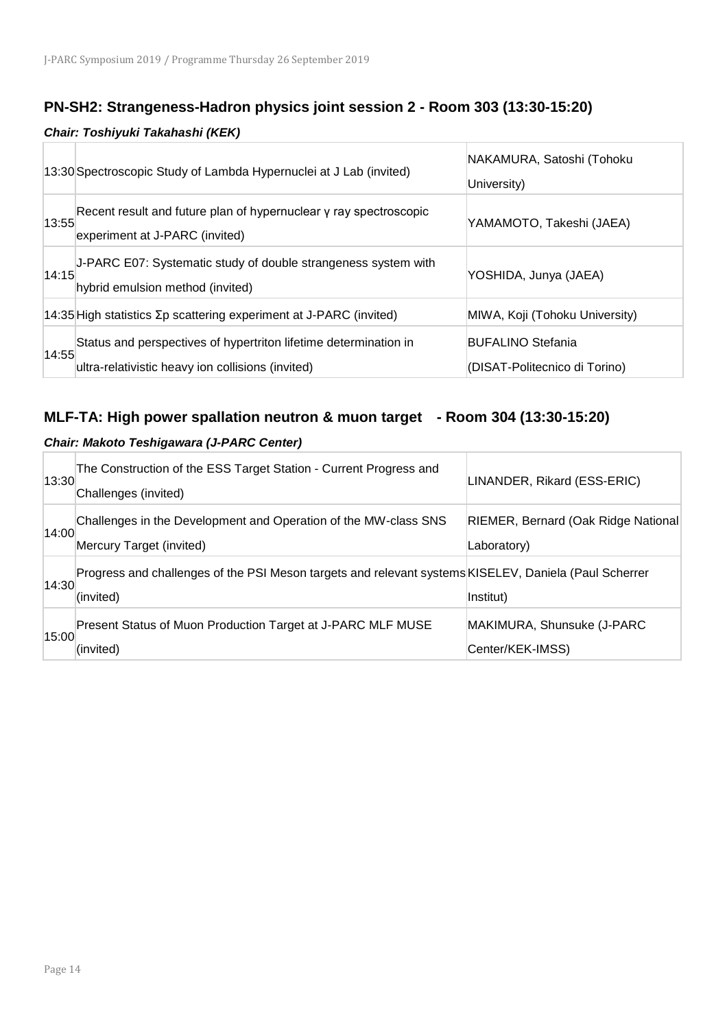## **PN-SH2: Strangeness-Hadron physics joint session 2 - Room 303 (13:30-15:20)**

#### *Chair: Toshiyuki Takahashi (KEK)*

|       | 13:30 Spectroscopic Study of Lambda Hypernuclei at J Lab (invited)                                                    | NAKAMURA, Satoshi (Tohoku<br>University)                  |
|-------|-----------------------------------------------------------------------------------------------------------------------|-----------------------------------------------------------|
| 13:55 | Recent result and future plan of hypernuclear y ray spectroscopic<br>experiment at J-PARC (invited)                   | YAMAMOTO, Takeshi (JAEA)                                  |
| 14:15 | J-PARC E07: Systematic study of double strangeness system with<br>hybrid emulsion method (invited)                    | YOSHIDA, Junya (JAEA)                                     |
|       | 14:35 High statistics $\Sigma p$ scattering experiment at J-PARC (invited)                                            | MIWA, Koji (Tohoku University)                            |
| 14:55 | Status and perspectives of hypertriton lifetime determination in<br>ultra-relativistic heavy ion collisions (invited) | <b>BUFALINO Stefania</b><br>(DISAT-Politecnico di Torino) |

### **MLF-TA: High power spallation neutron & muon target - Room 304 (13:30-15:20)**

#### *Chair: Makoto Teshigawara (J-PARC Center)*

| 13:30 | The Construction of the ESS Target Station - Current Progress and<br>Challenges (invited)                          | LINANDER, Rikard (ESS-ERIC)                        |
|-------|--------------------------------------------------------------------------------------------------------------------|----------------------------------------------------|
| 14:00 | Challenges in the Development and Operation of the MW-class SNS<br>Mercury Target (invited)                        | RIEMER, Bernard (Oak Ridge National<br>Laboratory) |
| 14:30 | Progress and challenges of the PSI Meson targets and relevant systems KISELEV, Daniela (Paul Scherrer<br>(invited) | Institut)                                          |
| 15:00 | Present Status of Muon Production Target at J-PARC MLF MUSE<br>(invited)                                           | MAKIMURA, Shunsuke (J-PARC<br>Center/KEK-IMSS)     |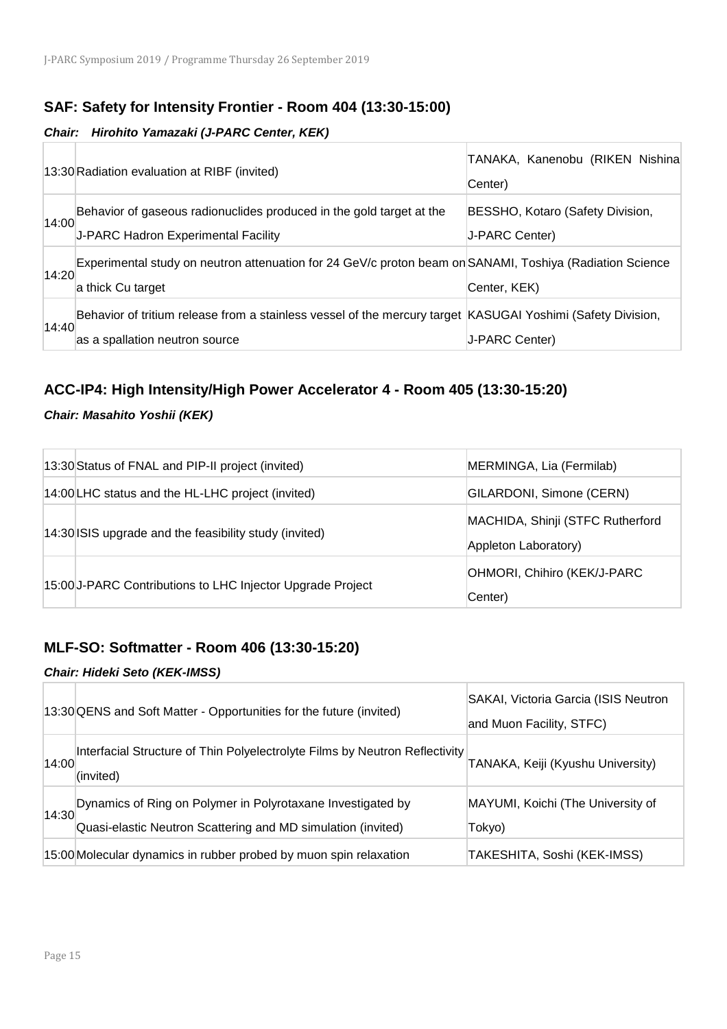## **SAF: Safety for Intensity Frontier - Room 404 (13:30-15:00)**

#### *Chair: Hirohito Yamazaki (J-PARC Center, KEK)*

|       | 13:30 Radiation evaluation at RIBF (invited)                                                                | TANAKA, Kanenobu (RIKEN Nishina<br>Center) |
|-------|-------------------------------------------------------------------------------------------------------------|--------------------------------------------|
|       | Behavior of gaseous radionuclides produced in the gold target at the                                        | BESSHO, Kotaro (Safety Division,           |
| 14:00 | J-PARC Hadron Experimental Facility                                                                         | J-PARC Center)                             |
| 14:20 | Experimental study on neutron attenuation for 24 GeV/c proton beam on SANAMI, Toshiya (Radiation Science    |                                            |
|       | a thick Cu target                                                                                           | Center, KEK)                               |
| 14:40 | Behavior of tritium release from a stainless vessel of the mercury target KASUGAI Yoshimi (Safety Division, |                                            |
|       | as a spallation neutron source                                                                              | J-PARC Center)                             |

## **ACC-IP4: High Intensity/High Power Accelerator 4 - Room 405 (13:30-15:20)**

#### *Chair: Masahito Yoshii (KEK)*

| 13:30 Status of FNAL and PIP-II project (invited)          | MERMINGA, Lia (Fermilab)                                 |
|------------------------------------------------------------|----------------------------------------------------------|
| 14:00 LHC status and the HL-LHC project (invited)          | GILARDONI, Simone (CERN)                                 |
| 14:30 ISIS upgrade and the feasibility study (invited)     | MACHIDA, Shinji (STFC Rutherford<br>Appleton Laboratory) |
| 15:00 J-PARC Contributions to LHC Injector Upgrade Project | OHMORI, Chihiro (KEK/J-PARC<br>Center)                   |

### **MLF-SO: Softmatter - Room 406 (13:30-15:20)**

#### *Chair: Hideki Seto (KEK-IMSS)*

|       | 13:30 QENS and Soft Matter - Opportunities for the future (invited)                                                         | SAKAI, Victoria Garcia (ISIS Neutron<br>and Muon Facility, STFC) |
|-------|-----------------------------------------------------------------------------------------------------------------------------|------------------------------------------------------------------|
| 14:00 | Interfacial Structure of Thin Polyelectrolyte Films by Neutron Reflectivity<br>(invited)                                    | TANAKA, Keiji (Kyushu University)                                |
| 14:30 | Dynamics of Ring on Polymer in Polyrotaxane Investigated by<br>Quasi-elastic Neutron Scattering and MD simulation (invited) | MAYUMI, Koichi (The University of<br>Tokyo)                      |
|       | 15:00 Molecular dynamics in rubber probed by muon spin relaxation                                                           | TAKESHITA, Soshi (KEK-IMSS)                                      |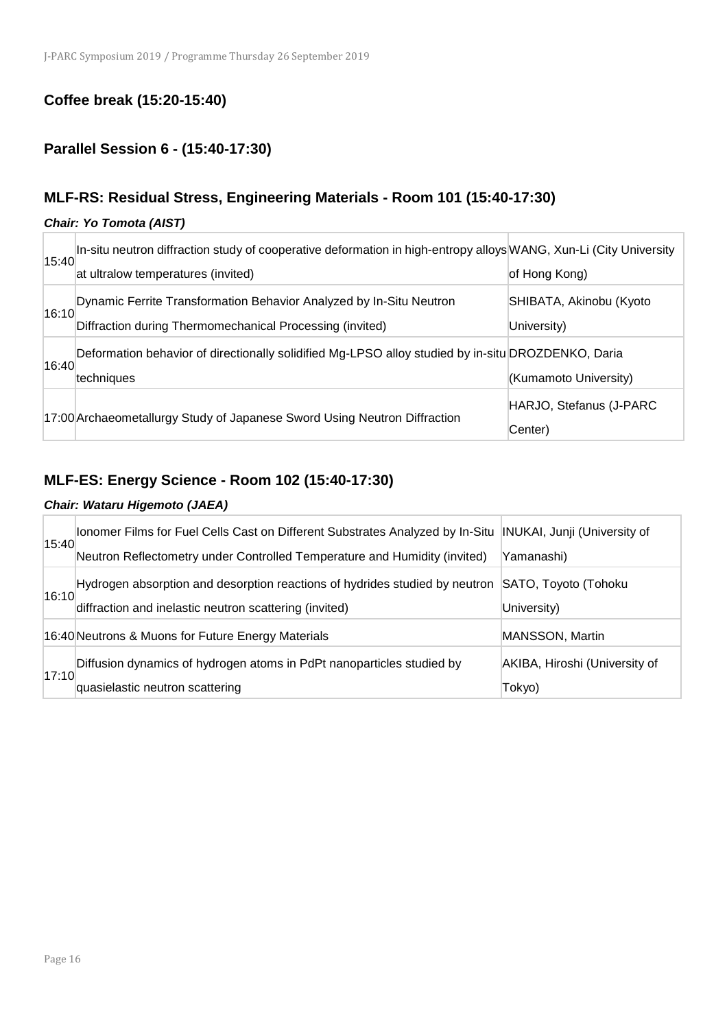## **Coffee break (15:20-15:40)**

## **Parallel Session 6 - (15:40-17:30)**

## **MLF-RS: Residual Stress, Engineering Materials - Room 101 (15:40-17:30)**

#### *Chair: Yo Tomota (AIST)*

|       | In-situ neutron diffraction study of cooperative deformation in high-entropy alloys WANG, Xun-Li (City University |                         |
|-------|-------------------------------------------------------------------------------------------------------------------|-------------------------|
| 15:40 | at ultralow temperatures (invited)                                                                                | of Hong Kong)           |
|       | Dynamic Ferrite Transformation Behavior Analyzed by In-Situ Neutron                                               | SHIBATA, Akinobu (Kyoto |
| 16:10 | Diffraction during Thermomechanical Processing (invited)                                                          | University)             |
| 16:40 | Deformation behavior of directionally solidified Mg-LPSO alloy studied by in-situ DROZDENKO, Daria                |                         |
|       | techniques                                                                                                        | (Kumamoto University)   |
|       |                                                                                                                   | HARJO, Stefanus (J-PARC |
|       | 17:00 Archaeometallurgy Study of Japanese Sword Using Neutron Diffraction                                         | Center)                 |

## **MLF-ES: Energy Science - Room 102 (15:40-17:30)**

#### *Chair: Wataru Higemoto (JAEA)*

| 15:40 | Ionomer Films for Fuel Cells Cast on Different Substrates Analyzed by In-Situ  INUKAI, Junji (University of |                               |
|-------|-------------------------------------------------------------------------------------------------------------|-------------------------------|
|       | Neutron Reflectometry under Controlled Temperature and Humidity (invited)                                   | Yamanashi)                    |
| 16:10 | Hydrogen absorption and desorption reactions of hydrides studied by neutron                                 | SATO, Toyoto (Tohoku          |
|       | diffraction and inelastic neutron scattering (invited)                                                      | University)                   |
|       | 16:40 Neutrons & Muons for Future Energy Materials                                                          | <b>MANSSON, Martin</b>        |
| 17:10 | Diffusion dynamics of hydrogen atoms in PdPt nanoparticles studied by                                       | AKIBA, Hiroshi (University of |
|       | quasielastic neutron scattering                                                                             | Tokyo)                        |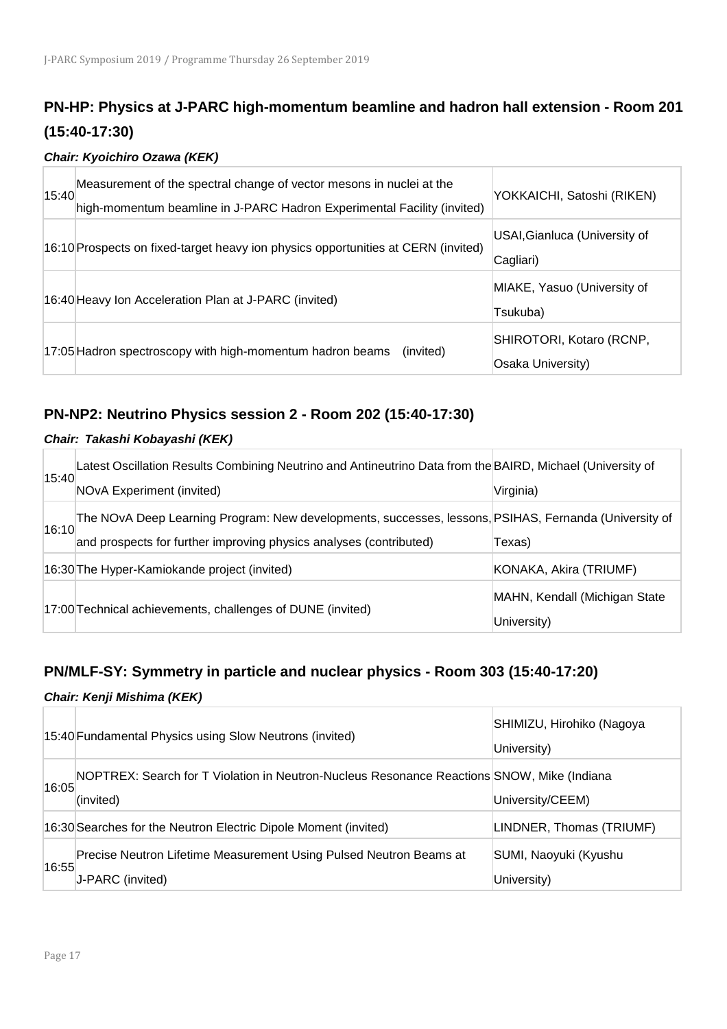## **PN-HP: Physics at J-PARC high-momentum beamline and hadron hall extension - Room 201 (15:40-17:30)**

#### *Chair: Kyoichiro Ozawa (KEK)*

| 15:40 | Measurement of the spectral change of vector mesons in nuclei at the<br>high-momentum beamline in J-PARC Hadron Experimental Facility (invited) | YOKKAICHI, Satoshi (RIKEN)                    |
|-------|-------------------------------------------------------------------------------------------------------------------------------------------------|-----------------------------------------------|
|       | 16:10 Prospects on fixed-target heavy ion physics opportunities at CERN (invited)                                                               | USAI, Gianluca (University of<br>Cagliari)    |
|       | 16:40 Heavy Ion Acceleration Plan at J-PARC (invited)                                                                                           | MIAKE, Yasuo (University of<br>Tsukuba)       |
|       | 17:05 Hadron spectroscopy with high-momentum hadron beams<br>(invited)                                                                          | SHIROTORI, Kotaro (RCNP,<br>Osaka University) |

## **PN-NP2: Neutrino Physics session 2 - Room 202 (15:40-17:30)**

#### *Chair: Takashi Kobayashi (KEK)*

|       | Latest Oscillation Results Combining Neutrino and Antineutrino Data from the BAIRD, Michael (University of |                               |
|-------|------------------------------------------------------------------------------------------------------------|-------------------------------|
| 15:40 | NOvA Experiment (invited)                                                                                  | Virginia)                     |
| 16:10 | The NOvA Deep Learning Program: New developments, successes, lessons, PSIHAS, Fernanda (University of      |                               |
|       | and prospects for further improving physics analyses (contributed)                                         | Texas)                        |
|       | 16:30 The Hyper-Kamiokande project (invited)                                                               | KONAKA, Akira (TRIUMF)        |
|       | 17:00 Technical achievements, challenges of DUNE (invited)                                                 | MAHN, Kendall (Michigan State |
|       |                                                                                                            | University)                   |

## **PN/MLF-SY: Symmetry in particle and nuclear physics - Room 303 (15:40-17:20)**

#### *Chair: Kenji Mishima (KEK)*

|       | 15:40 Fundamental Physics using Slow Neutrons (invited)                                                 | SHIMIZU, Hirohiko (Nagoya<br>University) |
|-------|---------------------------------------------------------------------------------------------------------|------------------------------------------|
| 16:05 | NOPTREX: Search for T Violation in Neutron-Nucleus Resonance Reactions SNOW, Mike (Indiana<br>(invited) | University/CEEM)                         |
|       | 16:30 Searches for the Neutron Electric Dipole Moment (invited)                                         | LINDNER, Thomas (TRIUMF)                 |
| 16:55 | Precise Neutron Lifetime Measurement Using Pulsed Neutron Beams at<br>J-PARC (invited)                  | SUMI, Naoyuki (Kyushu<br>University)     |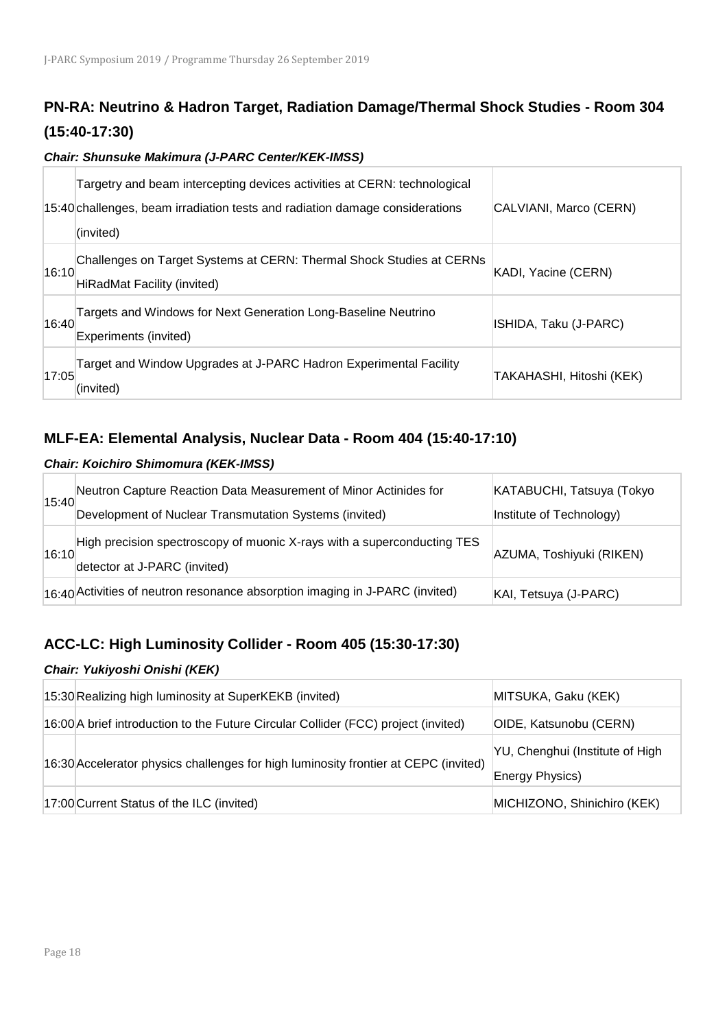## **PN-RA: Neutrino & Hadron Target, Radiation Damage/Thermal Shock Studies - Room 304 (15:40-17:30)**

*Chair: Shunsuke Makimura (J-PARC Center/KEK-IMSS)* 

|       | Targetry and beam intercepting devices activities at CERN: technological<br>15:40 challenges, beam irradiation tests and radiation damage considerations<br>(invited) | CALVIANI, Marco (CERN)   |
|-------|-----------------------------------------------------------------------------------------------------------------------------------------------------------------------|--------------------------|
| 16:10 | Challenges on Target Systems at CERN: Thermal Shock Studies at CERNs<br><b>HiRadMat Facility (invited)</b>                                                            | KADI, Yacine (CERN)      |
| 16:40 | Targets and Windows for Next Generation Long-Baseline Neutrino<br>Experiments (invited)                                                                               | ISHIDA, Taku (J-PARC)    |
| 17:05 | Target and Window Upgrades at J-PARC Hadron Experimental Facility<br>(invited)                                                                                        | TAKAHASHI, Hitoshi (KEK) |

### **MLF-EA: Elemental Analysis, Nuclear Data - Room 404 (15:40-17:10)**

#### *Chair: Koichiro Shimomura (KEK-IMSS)*

| 15:40 | Neutron Capture Reaction Data Measurement of Minor Actinides for                                        | KATABUCHI, Tatsuya (Tokyo |
|-------|---------------------------------------------------------------------------------------------------------|---------------------------|
|       | Development of Nuclear Transmutation Systems (invited)                                                  | Institute of Technology)  |
| 16:10 | High precision spectroscopy of muonic X-rays with a superconducting TES<br>detector at J-PARC (invited) | AZUMA, Toshiyuki (RIKEN)  |
|       | $ 16:40 $ Activities of neutron resonance absorption imaging in J-PARC (invited)                        | KAI, Tetsuya (J-PARC)     |

## **ACC-LC: High Luminosity Collider - Room 405 (15:30-17:30)**

#### *Chair: Yukiyoshi Onishi (KEK)*

| 15:30 Realizing high luminosity at SuperKEKB (invited)                              | MITSUKA, Gaku (KEK)                                |
|-------------------------------------------------------------------------------------|----------------------------------------------------|
| 16:00 A brief introduction to the Future Circular Collider (FCC) project (invited)  | OIDE, Katsunobu (CERN)                             |
| 16:30 Accelerator physics challenges for high luminosity frontier at CEPC (invited) | YU, Chenghui (Institute of High<br>Energy Physics) |
| 17:00 Current Status of the ILC (invited)                                           | MICHIZONO, Shinichiro (KEK)                        |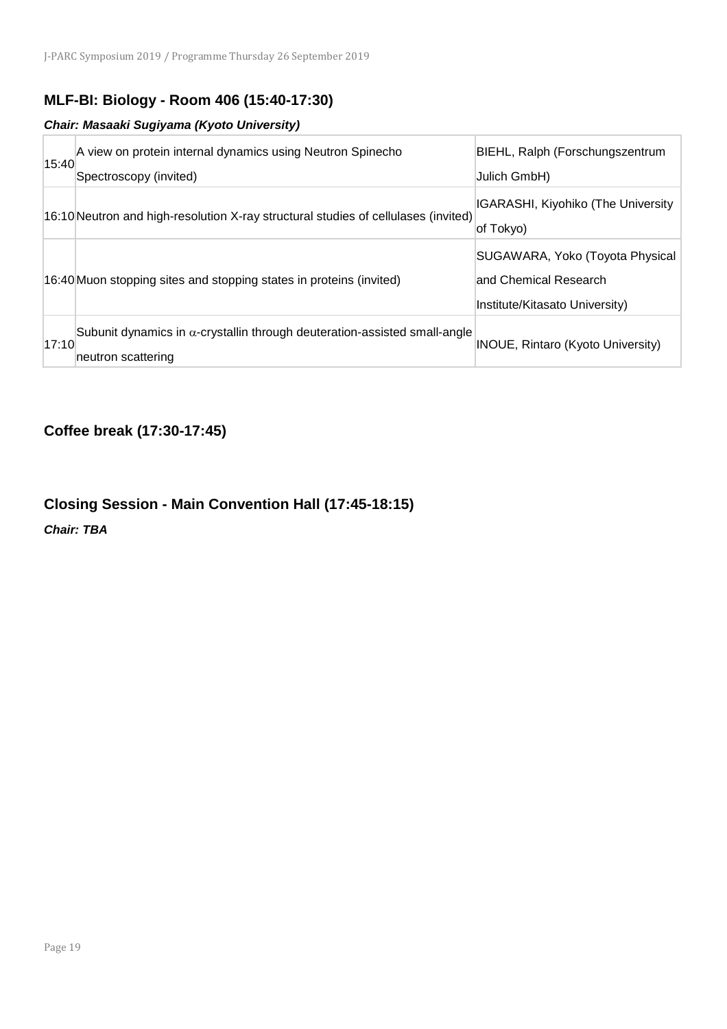## **MLF-BI: Biology - Room 406 (15:40-17:30)**

#### *Chair: Masaaki Sugiyama (Kyoto University)*

| 15:40 | A view on protein internal dynamics using Neutron Spinecho<br>Spectroscopy (invited)                    | BIEHL, Ralph (Forschungszentrum<br>Julich GmbH)                                            |
|-------|---------------------------------------------------------------------------------------------------------|--------------------------------------------------------------------------------------------|
|       | 16:10 Neutron and high-resolution X-ray structural studies of cellulases (invited)                      | <b>IGARASHI, Kiyohiko (The University</b><br>of Tokyo)                                     |
|       | 16:40 Muon stopping sites and stopping states in proteins (invited)                                     | SUGAWARA, Yoko (Toyota Physical<br>and Chemical Research<br>Institute/Kitasato University) |
| 17:10 | Subunit dynamics in $\alpha$ -crystallin through deuteration-assisted small-angle<br>neutron scattering | <b>INOUE, Rintaro (Kyoto University)</b>                                                   |

## **Coffee break (17:30-17:45)**

## **Closing Session - Main Convention Hall (17:45-18:15)**

*Chair: TBA*